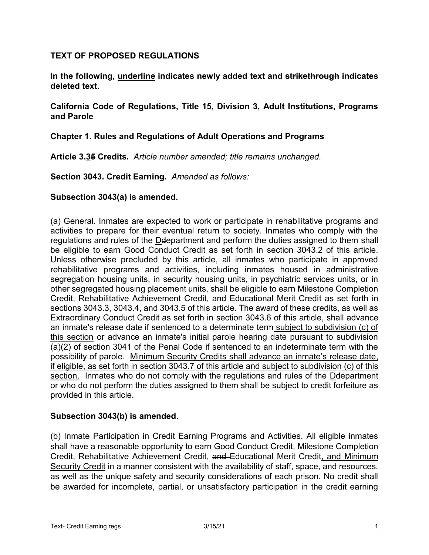### **TEXT OF PROPOSED REGULATIONS**

**In the following, underline indicates newly added text and strikethrough indicates deleted text.**

**California Code of Regulations, Title 15, Division 3, Adult Institutions, Programs and Parole**

#### **Chapter 1. Rules and Regulations of Adult Operations and Programs**

**Article 3.35 Credits.** *Article number amended; title remains unchanged.*

**Section 3043. Credit Earning.** *Amended as follows:*

#### **Subsection 3043(a) is amended.**

(a) General. Inmates are expected to work or participate in rehabilitative programs and activities to prepare for their eventual return to society. Inmates who comply with the regulations and rules of the Ddepartment and perform the duties assigned to them shall be eligible to earn Good Conduct Credit as set forth in section 3043.2 of this article. Unless otherwise precluded by this article, all inmates who participate in approved rehabilitative programs and activities, including inmates housed in administrative segregation housing units, in security housing units, in psychiatric services units, or in other segregated housing placement units, shall be eligible to earn Milestone Completion Credit, Rehabilitative Achievement Credit, and Educational Merit Credit as set forth in sections 3043.3, 3043.4, and 3043.5 of this article. The award of these credits, as well as Extraordinary Conduct Credit as set forth in section 3043.6 of this article, shall advance an inmate's release date if sentenced to a determinate term subject to subdivision (c) of this section or advance an inmate's initial parole hearing date pursuant to subdivision (a)(2) of section 3041 of the Penal Code if sentenced to an indeterminate term with the possibility of parole. Minimum Security Credits shall advance an inmate's release date, if eligible, as set forth in section 3043.7 of this article and subject to subdivision (c) of this section. Inmates who do not comply with the regulations and rules of the Deepartment or who do not perform the duties assigned to them shall be subject to credit forfeiture as provided in this article.

#### **Subsection 3043(b) is amended.**

(b) Inmate Participation in Credit Earning Programs and Activities. All eligible inmates shall have a reasonable opportunity to earn Good Conduct Credit, Milestone Completion Credit, Rehabilitative Achievement Credit, and Educational Merit Credit, and Minimum Security Credit in a manner consistent with the availability of staff, space, and resources, as well as the unique safety and security considerations of each prison. No credit shall be awarded for incomplete, partial, or unsatisfactory participation in the credit earning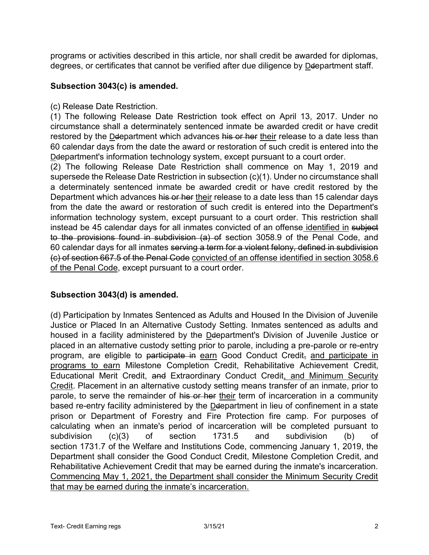programs or activities described in this article, nor shall credit be awarded for diplomas, degrees, or certificates that cannot be verified after due diligence by Deepartment staff.

### **Subsection 3043(c) is amended.**

(c) Release Date Restriction.

(1) The following Release Date Restriction took effect on April 13, 2017. Under no circumstance shall a determinately sentenced inmate be awarded credit or have credit restored by the Deepartment which advances his or her their release to a date less than 60 calendar days from the date the award or restoration of such credit is entered into the Ddepartment's information technology system, except pursuant to a court order.

(2) The following Release Date Restriction shall commence on May 1, 2019 and supersede the Release Date Restriction in subsection (c)(1). Under no circumstance shall a determinately sentenced inmate be awarded credit or have credit restored by the Department which advances his or her their release to a date less than 15 calendar days from the date the award or restoration of such credit is entered into the Department's information technology system, except pursuant to a court order. This restriction shall instead be 45 calendar days for all inmates convicted of an offense identified in subject to the provisions found in subdivision (a) of section 3058.9 of the Penal Code, and 60 calendar days for all inmates serving a term for a violent felony, defined in subdivision (c) of section 667.5 of the Penal Code convicted of an offense identified in section 3058.6 of the Penal Code, except pursuant to a court order.

## **Subsection 3043(d) is amended.**

(d) Participation by Inmates Sentenced as Adults and Housed In the Division of Juvenile Justice or Placed In an Alternative Custody Setting. Inmates sentenced as adults and housed in a facility administered by the Ddepartment's Division of Juvenile Justice or placed in an alternative custody setting prior to parole, including a pre-parole or re-entry program, are eligible to participate in earn Good Conduct Credit, and participate in programs to earn Milestone Completion Credit, Rehabilitative Achievement Credit, Educational Merit Credit, and Extraordinary Conduct Credit, and Minimum Security Credit. Placement in an alternative custody setting means transfer of an inmate, prior to parole, to serve the remainder of his or her their term of incarceration in a community based re-entry facility administered by the Ddepartment in lieu of confinement in a state prison or Department of Forestry and Fire Protection fire camp. For purposes of calculating when an inmate's period of incarceration will be completed pursuant to subdivision (c)(3) of section 1731.5 and subdivision (b) of section 1731.7 of the Welfare and Institutions Code, commencing January 1, 2019, the Department shall consider the Good Conduct Credit, Milestone Completion Credit, and Rehabilitative Achievement Credit that may be earned during the inmate's incarceration. Commencing May 1, 2021, the Department shall consider the Minimum Security Credit that may be earned during the inmate's incarceration.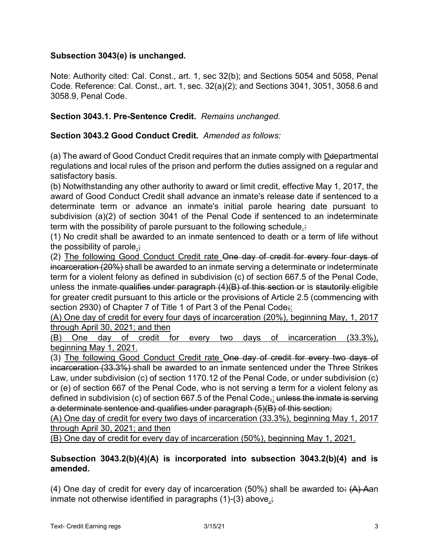## **Subsection 3043(e) is unchanged.**

Note: Authority cited: Cal. Const., art. 1, sec 32(b); and Sections 5054 and 5058, Penal Code. Reference: Cal. Const., art. 1, sec. 32(a)(2); and Sections 3041, 3051, 3058.6 and 3058.9, Penal Code.

**Section 3043.1. Pre-Sentence Credit.** *Remains unchanged.*

### **Section 3043.2 Good Conduct Credit.** *Amended as follows:*

(a) The award of Good Conduct Credit requires that an inmate comply with Deepartmental regulations and local rules of the prison and perform the duties assigned on a regular and satisfactory basis.

(b) Notwithstanding any other authority to award or limit credit, effective May 1, 2017, the award of Good Conduct Credit shall advance an inmate's release date if sentenced to a determinate term or advance an inmate's initial parole hearing date pursuant to subdivision (a)(2) of section 3041 of the Penal Code if sentenced to an indeterminate term with the possibility of parole pursuant to the following schedule.:

(1) No credit shall be awarded to an inmate sentenced to death or a term of life without the possibility of parole.;

(2) The following Good Conduct Credit rate One day of credit for every four days of incarceration (20%) shall be awarded to an inmate serving a determinate or indeterminate term for a violent felony as defined in subdivision (c) of section 667.5 of the Penal Code, unless the inmate-qualifies under paragraph  $(4)(B)$  of this section or is stautorily eligible for greater credit pursuant to this article or the provisions of Article 2.5 (commencing with section 2930) of Chapter 7 of Title 1 of Part 3 of the Penal Code;

(A) One day of credit for every four days of incarceration (20%), beginning May, 1, 2017 through April 30, 2021; and then

(B) One day of credit for every two days of incarceration (33.3%), beginning May 1, 2021.

(3) The following Good Conduct Credit rate One day of credit for every two days of incarceration (33.3%) shall be awarded to an inmate sentenced under the Three Strikes Law, under subdivision (c) of section 1170.12 of the Penal Code, or under subdivision (c) or (e) of section 667 of the Penal Code, who is not serving a term for a violent felony as defined in subdivision (c) of section 667.5 of the Penal Code,: unless the inmate is serving a determinate sentence and qualifies under paragraph (5)(B) of this section;

(A) One day of credit for every two days of incarceration (33.3%), beginning May 1, 2017 through April 30, 2021; and then

(B) One day of credit for every day of incarceration (50%), beginning May 1, 2021.

## **Subsection 3043.2(b)(4)(A) is incorporated into subsection 3043.2(b)(4) and is amended.**

(4) One day of credit for every day of incarceration (50%) shall be awarded to:  $(A)$  Aan inmate not otherwise identified in paragraphs (1)-(3) above.;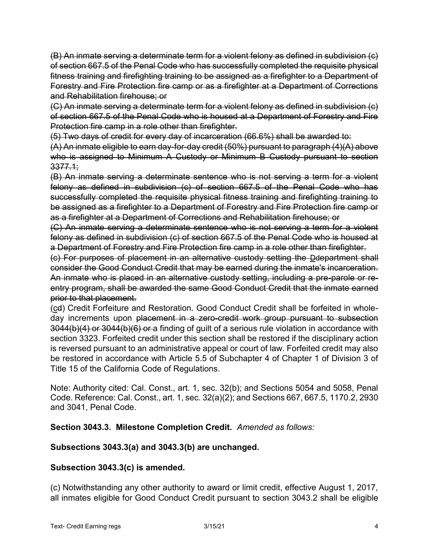(B) An inmate serving a determinate term for a violent felony as defined in subdivision (c) of section 667.5 of the Penal Code who has successfully completed the requisite physical fitness training and firefighting training to be assigned as a firefighter to a Department of Forestry and Fire Protection fire camp or as a firefighter at a Department of Corrections and Rehabilitation firehouse; or

(C) An inmate serving a determinate term for a violent felony as defined in subdivision (c) of section 667.5 of the Penal Code who is housed at a Department of Forestry and Fire Protection fire camp in a role other than firefighter.

(5) Two days of credit for every day of incarceration (66.6%) shall be awarded to:

(A) An inmate eligible to earn day-for-day credit (50%) pursuant to paragraph (4)(A) above who is assigned to Minimum A Custody or Minimum B Custody pursuant to section 3377.1;

(B) An inmate serving a determinate sentence who is not serving a term for a violent felony as defined in subdivision (c) of section 667.5 of the Penal Code who has successfully completed the requisite physical fitness training and firefighting training to be assigned as a firefighter to a Department of Forestry and Fire Protection fire camp or as a firefighter at a Department of Corrections and Rehabilitation firehouse; or

(C) An inmate serving a determinate sentence who is not serving a term for a violent felony as defined in subdivision (c) of section 667.5 of the Penal Code who is housed at a Department of Forestry and Fire Protection fire camp in a role other than firefighter.

(c) For purposes of placement in an alternative custody setting the Ddepartment shall consider the Good Conduct Credit that may be earned during the inmate's incarceration. An inmate who is placed in an alternative custody setting, including a pre-parole or reentry program, shall be awarded the same Good Conduct Credit that the inmate earned prior to that placement.

(cd) Credit Forfeiture and Restoration. Good Conduct Credit shall be forfeited in wholeday increments upon placement in a zero-credit work group pursuant to subsection 3044(b)(4) or 3044(b)(6) or a finding of guilt of a serious rule violation in accordance with section 3323. Forfeited credit under this section shall be restored if the disciplinary action is reversed pursuant to an administrative appeal or court of law. Forfeited credit may also be restored in accordance with Article 5.5 of Subchapter 4 of Chapter 1 of Division 3 of Title 15 of the California Code of Regulations.

Note: Authority cited: Cal. Const., art. 1, sec. 32(b); and Sections 5054 and 5058, Penal Code. Reference: Cal. Const., art. 1, sec. 32(a)(2); and Sections 667, 667.5, 1170.2, 2930 and 3041, Penal Code.

**Section 3043.3. Milestone Completion Credit.** *Amended as follows:*

## **Subsections 3043.3(a) and 3043.3(b) are unchanged.**

## **Subsection 3043.3(c) is amended.**

(c) Notwithstanding any other authority to award or limit credit, effective August 1, 2017, all inmates eligible for Good Conduct Credit pursuant to section 3043.2 shall be eligible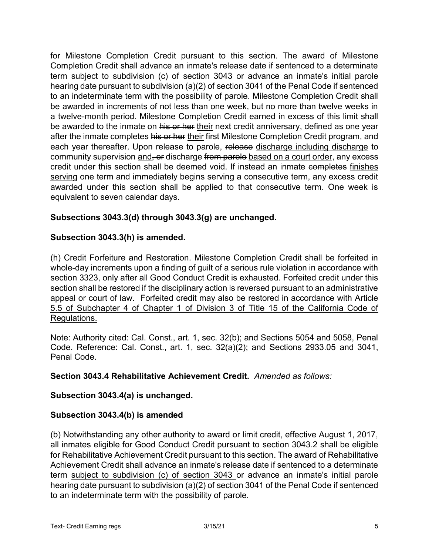for Milestone Completion Credit pursuant to this section. The award of Milestone Completion Credit shall advance an inmate's release date if sentenced to a determinate term subject to subdivision (c) of section 3043 or advance an inmate's initial parole hearing date pursuant to subdivision (a)(2) of section 3041 of the Penal Code if sentenced to an indeterminate term with the possibility of parole. Milestone Completion Credit shall be awarded in increments of not less than one week, but no more than twelve weeks in a twelve-month period. Milestone Completion Credit earned in excess of this limit shall be awarded to the inmate on his or her their next credit anniversary, defined as one year after the inmate completes his or her their first Milestone Completion Credit program, and each year thereafter. Upon release to parole, release discharge including discharge to community supervision and, or discharge from parole based on a court order, any excess credit under this section shall be deemed void. If instead an inmate completes finishes serving one term and immediately begins serving a consecutive term, any excess credit awarded under this section shall be applied to that consecutive term. One week is equivalent to seven calendar days.

### **Subsections 3043.3(d) through 3043.3(g) are unchanged.**

#### **Subsection 3043.3(h) is amended.**

(h) Credit Forfeiture and Restoration. Milestone Completion Credit shall be forfeited in whole-day increments upon a finding of guilt of a serious rule violation in accordance with section 3323, only after all Good Conduct Credit is exhausted. Forfeited credit under this section shall be restored if the disciplinary action is reversed pursuant to an administrative appeal or court of law. Forfeited credit may also be restored in accordance with Article 5.5 of Subchapter 4 of Chapter 1 of Division 3 of Title 15 of the California Code of Regulations.

Note: Authority cited: Cal. Const., art. 1, sec. 32(b); and Sections 5054 and 5058, Penal Code. Reference: Cal. Const., art. 1, sec. 32(a)(2); and Sections 2933.05 and 3041, Penal Code.

#### **Section 3043.4 Rehabilitative Achievement Credit.** *Amended as follows:*

#### **Subsection 3043.4(a) is unchanged.**

#### **Subsection 3043.4(b) is amended**

(b) Notwithstanding any other authority to award or limit credit, effective August 1, 2017, all inmates eligible for Good Conduct Credit pursuant to section 3043.2 shall be eligible for Rehabilitative Achievement Credit pursuant to this section. The award of Rehabilitative Achievement Credit shall advance an inmate's release date if sentenced to a determinate term subject to subdivision (c) of section 3043 or advance an inmate's initial parole hearing date pursuant to subdivision (a)(2) of section 3041 of the Penal Code if sentenced to an indeterminate term with the possibility of parole.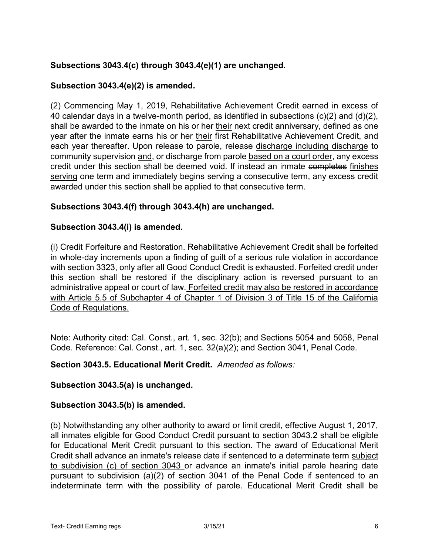## **Subsections 3043.4(c) through 3043.4(e)(1) are unchanged.**

### **Subsection 3043.4(e)(2) is amended.**

(2) Commencing May 1, 2019, Rehabilitative Achievement Credit earned in excess of 40 calendar days in a twelve-month period, as identified in subsections (c)(2) and (d)(2), shall be awarded to the inmate on his or her their next credit anniversary, defined as one year after the inmate earns his or her their first Rehabilitative Achievement Credit, and each year thereafter. Upon release to parole, release discharge including discharge to community supervision and, or discharge from parole based on a court order, any excess credit under this section shall be deemed void. If instead an inmate completes finishes serving one term and immediately begins serving a consecutive term, any excess credit awarded under this section shall be applied to that consecutive term.

### **Subsections 3043.4(f) through 3043.4(h) are unchanged.**

#### **Subsection 3043.4(i) is amended.**

(i) Credit Forfeiture and Restoration. Rehabilitative Achievement Credit shall be forfeited in whole-day increments upon a finding of guilt of a serious rule violation in accordance with section 3323, only after all Good Conduct Credit is exhausted. Forfeited credit under this section shall be restored if the disciplinary action is reversed pursuant to an administrative appeal or court of law. Forfeited credit may also be restored in accordance with Article 5.5 of Subchapter 4 of Chapter 1 of Division 3 of Title 15 of the California Code of Regulations.

Note: Authority cited: Cal. Const., art. 1, sec. 32(b); and Sections 5054 and 5058, Penal Code. Reference: Cal. Const., art. 1, sec. 32(a)(2); and Section 3041, Penal Code.

#### **Section 3043.5. Educational Merit Credit.** *Amended as follows:*

#### **Subsection 3043.5(a) is unchanged.**

#### **Subsection 3043.5(b) is amended.**

(b) Notwithstanding any other authority to award or limit credit, effective August 1, 2017, all inmates eligible for Good Conduct Credit pursuant to section 3043.2 shall be eligible for Educational Merit Credit pursuant to this section. The award of Educational Merit Credit shall advance an inmate's release date if sentenced to a determinate term subject to subdivision (c) of section 3043 or advance an inmate's initial parole hearing date pursuant to subdivision (a)(2) of section 3041 of the Penal Code if sentenced to an indeterminate term with the possibility of parole. Educational Merit Credit shall be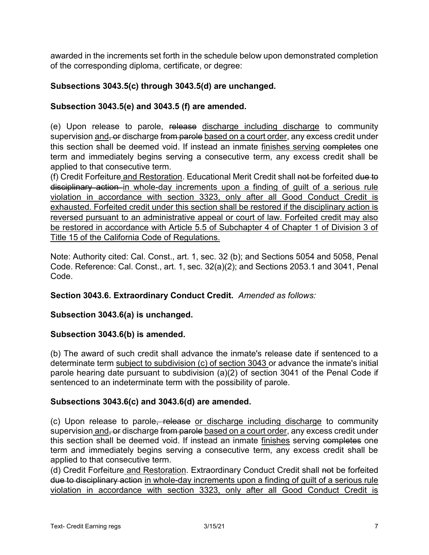awarded in the increments set forth in the schedule below upon demonstrated completion of the corresponding diploma, certificate, or degree:

### **Subsections 3043.5(c) through 3043.5(d) are unchanged.**

### **Subsection 3043.5(e) and 3043.5 (f) are amended.**

(e) Upon release to parole, release discharge including discharge to community supervision and, or discharge from parole based on a court order, any excess credit under this section shall be deemed void. If instead an inmate finishes serving completes one term and immediately begins serving a consecutive term, any excess credit shall be applied to that consecutive term.

(f) Credit Forfeiture and Restoration. Educational Merit Credit shall not be forfeited due to disciplinary action in whole-day increments upon a finding of guilt of a serious rule violation in accordance with section 3323, only after all Good Conduct Credit is exhausted. Forfeited credit under this section shall be restored if the disciplinary action is reversed pursuant to an administrative appeal or court of law. Forfeited credit may also be restored in accordance with Article 5.5 of Subchapter 4 of Chapter 1 of Division 3 of Title 15 of the California Code of Regulations.

Note: Authority cited: Cal. Const., art. 1, sec. 32 (b); and Sections 5054 and 5058, Penal Code. Reference: Cal. Const., art. 1, sec. 32(a)(2); and Sections 2053.1 and 3041, Penal Code.

#### **Section 3043.6. Extraordinary Conduct Credit.** *Amended as follows:*

#### **Subsection 3043.6(a) is unchanged.**

#### **Subsection 3043.6(b) is amended.**

(b) The award of such credit shall advance the inmate's release date if sentenced to a determinate term subject to subdivision (c) of section 3043 or advance the inmate's initial parole hearing date pursuant to subdivision (a)(2) of section 3041 of the Penal Code if sentenced to an indeterminate term with the possibility of parole.

#### **Subsections 3043.6(c) and 3043.6(d) are amended.**

(c) Upon release to parole, release or discharge including discharge to community supervision and, or discharge from parole based on a court order, any excess credit under this section shall be deemed void. If instead an inmate finishes serving completes one term and immediately begins serving a consecutive term, any excess credit shall be applied to that consecutive term.

(d) Credit Forfeiture and Restoration. Extraordinary Conduct Credit shall not be forfeited due to disciplinary action in whole-day increments upon a finding of guilt of a serious rule violation in accordance with section 3323, only after all Good Conduct Credit is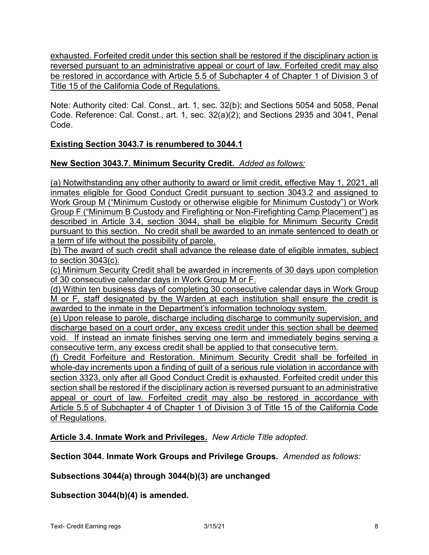exhausted. Forfeited credit under this section shall be restored if the disciplinary action is reversed pursuant to an administrative appeal or court of law. Forfeited credit may also be restored in accordance with Article 5.5 of Subchapter 4 of Chapter 1 of Division 3 of Title 15 of the California Code of Regulations.

Note: Authority cited: Cal. Const., art. 1, sec. 32(b); and Sections 5054 and 5058, Penal Code. Reference: Cal. Const., art. 1, sec. 32(a)(2); and Sections 2935 and 3041, Penal Code.

# **Existing Section 3043.7 is renumbered to 3044.1**

# **New Section 3043.7. Minimum Security Credit.** *Added as follows:*

(a) Notwithstanding any other authority to award or limit credit, effective May 1, 2021, all inmates eligible for Good Conduct Credit pursuant to section 3043.2 and assigned to Work Group M ("Minimum Custody or otherwise eligible for Minimum Custody") or Work Group F ("Minimum B Custody and Firefighting or Non-Firefighting Camp Placement") as described in Article 3.4, section 3044, shall be eligible for Minimum Security Credit pursuant to this section. No credit shall be awarded to an inmate sentenced to death or a term of life without the possibility of parole.

(b) The award of such credit shall advance the release date of eligible inmates, subject to section 3043(c).

(c) Minimum Security Credit shall be awarded in increments of 30 days upon completion of 30 consecutive calendar days in Work Group M or F.

(d) Within ten business days of completing 30 consecutive calendar days in Work Group M or F, staff designated by the Warden at each institution shall ensure the credit is awarded to the inmate in the Department's information technology system.

(e) Upon release to parole, discharge including discharge to community supervision, and discharge based on a court order, any excess credit under this section shall be deemed void. If instead an inmate finishes serving one term and immediately begins serving a consecutive term, any excess credit shall be applied to that consecutive term.

(f) Credit Forfeiture and Restoration. Minimum Security Credit shall be forfeited in whole-day increments upon a finding of guilt of a serious rule violation in accordance with section 3323, only after all Good Conduct Credit is exhausted. Forfeited credit under this section shall be restored if the disciplinary action is reversed pursuant to an administrative appeal or court of law. Forfeited credit may also be restored in accordance with Article 5.5 of Subchapter 4 of Chapter 1 of Division 3 of Title 15 of the California Code of Regulations.

**Article 3.4. Inmate Work and Privileges.** *New Article Title adopted*.

**Section 3044. Inmate Work Groups and Privilege Groups.** *Amended as follows:*

## **Subsections 3044(a) through 3044(b)(3) are unchanged**

**Subsection 3044(b)(4) is amended.**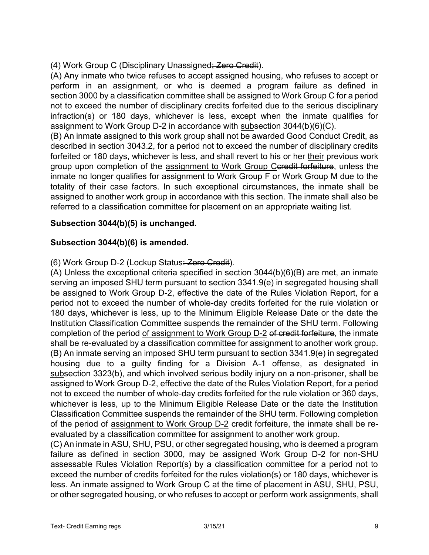(4) Work Group C (Disciplinary Unassigned; Zero Credit).

(A) Any inmate who twice refuses to accept assigned housing, who refuses to accept or perform in an assignment, or who is deemed a program failure as defined in section 3000 by a classification committee shall be assigned to Work Group C for a period not to exceed the number of disciplinary credits forfeited due to the serious disciplinary infraction(s) or 180 days, whichever is less, except when the inmate qualifies for assignment to Work Group D-2 in accordance with subsection 3044(b)(6)(C).

(B) An inmate assigned to this work group shall not be awarded Good Conduct Credit, as described in section 3043.2, for a period not to exceed the number of disciplinary credits forfeited or 180 days, whichever is less, and shall revert to his or her their previous work group upon completion of the assignment to Work Group Ceredit forfeiture, unless the inmate no longer qualifies for assignment to Work Group F or Work Group M due to the totality of their case factors. In such exceptional circumstances, the inmate shall be assigned to another work group in accordance with this section. The inmate shall also be referred to a classification committee for placement on an appropriate waiting list.

# **Subsection 3044(b)(5) is unchanged.**

# **Subsection 3044(b)(6) is amended.**

(6) Work Group D-2 (Lockup Status: Zero Credit).

(A) Unless the exceptional criteria specified in section 3044(b)(6)(B) are met, an inmate serving an imposed SHU term pursuant to section 3341.9(e) in segregated housing shall be assigned to Work Group D-2, effective the date of the Rules Violation Report, for a period not to exceed the number of whole-day credits forfeited for the rule violation or 180 days, whichever is less, up to the Minimum Eligible Release Date or the date the Institution Classification Committee suspends the remainder of the SHU term. Following completion of the period of assignment to Work Group D-2 of credit forfeiture, the inmate shall be re-evaluated by a classification committee for assignment to another work group. (B) An inmate serving an imposed SHU term pursuant to section 3341.9(e) in segregated housing due to a guilty finding for a Division A-1 offense, as designated in subsection 3323(b), and which involved serious bodily injury on a non-prisoner, shall be assigned to Work Group D-2, effective the date of the Rules Violation Report, for a period not to exceed the number of whole-day credits forfeited for the rule violation or 360 days, whichever is less, up to the Minimum Eligible Release Date or the date the Institution Classification Committee suspends the remainder of the SHU term. Following completion of the period of assignment to Work Group D-2 credit forfeiture, the inmate shall be reevaluated by a classification committee for assignment to another work group.

(C) An inmate in ASU, SHU, PSU, or other segregated housing, who is deemed a program failure as defined in section 3000, may be assigned Work Group D-2 for non-SHU assessable Rules Violation Report(s) by a classification committee for a period not to exceed the number of credits forfeited for the rules violation(s) or 180 days, whichever is less. An inmate assigned to Work Group C at the time of placement in ASU, SHU, PSU, or other segregated housing, or who refuses to accept or perform work assignments, shall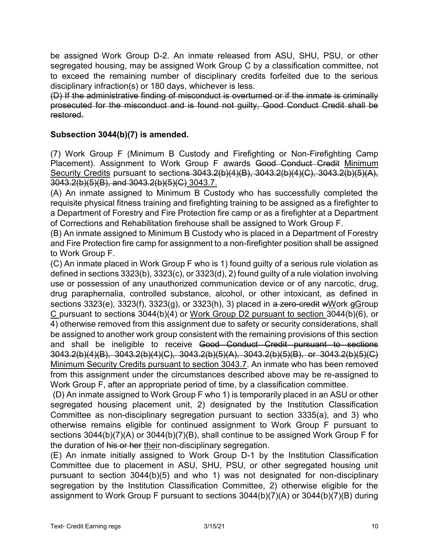be assigned Work Group D-2. An inmate released from ASU, SHU, PSU, or other segregated housing, may be assigned Work Group C by a classification committee, not to exceed the remaining number of disciplinary credits forfeited due to the serious disciplinary infraction(s) or 180 days, whichever is less.

(D) If the administrative finding of misconduct is overturned or if the inmate is criminally prosecuted for the misconduct and is found not guilty, Good Conduct Credit shall be restored.

### **Subsection 3044(b)(7) is amended.**

(7) Work Group F (Minimum B Custody and Firefighting or Non-Firefighting Camp Placement). Assignment to Work Group F awards Good Conduct Credit Minimum Security Credits pursuant to sections 3043.2(b)(4)(B), 3043.2(b)(4)(C), 3043.2(b)(5)(A), 3043.2(b)(5)(B), and 3043.2(b)(5)(C) 3043.7.

(A) An inmate assigned to Minimum B Custody who has successfully completed the requisite physical fitness training and firefighting training to be assigned as a firefighter to a Department of Forestry and Fire Protection fire camp or as a firefighter at a Department of Corrections and Rehabilitation firehouse shall be assigned to Work Group F.

(B) An inmate assigned to Minimum B Custody who is placed in a Department of Forestry and Fire Protection fire camp for assignment to a non-firefighter position shall be assigned to Work Group F.

(C) An inmate placed in Work Group F who is 1) found guilty of a serious rule violation as defined in sections 3323(b), 3323(c), or 3323(d), 2) found guilty of a rule violation involving use or possession of any unauthorized communication device or of any narcotic, drug, drug paraphernalia, controlled substance, alcohol, or other intoxicant, as defined in sections 3323(e), 3323(f), 3323(g), or 3323(h), 3) placed in a zero-credit wWork gGroup C pursuant to sections 3044(b)(4) or Work Group D2 pursuant to section 3044(b)(6), or 4) otherwise removed from this assignment due to safety or security considerations, shall be assigned to another work group consistent with the remaining provisions of this section and shall be ineligible to receive Good Conduct Credit pursuant to sections 3043.2(b)(4)(B), 3043.2(b)(4)(C), 3043.2(b)(5)(A), 3043.2(b)(5)(B), or 3043.2(b)(5)(C) Minimum Security Credits pursuant to section 3043.7. An inmate who has been removed from this assignment under the circumstances described above may be re-assigned to Work Group F, after an appropriate period of time, by a classification committee.

(D) An inmate assigned to Work Group F who 1) is temporarily placed in an ASU or other segregated housing placement unit, 2) designated by the Institution Classification Committee as non-disciplinary segregation pursuant to section 3335(a), and 3) who otherwise remains eligible for continued assignment to Work Group F pursuant to sections 3044(b)(7)(A) or 3044(b)(7)(B), shall continue to be assigned Work Group F for the duration of his or her their non-disciplinary segregation.

(E) An inmate initially assigned to Work Group D-1 by the Institution Classification Committee due to placement in ASU, SHU, PSU, or other segregated housing unit pursuant to section 3044(b)(5) and who 1) was not designated for non-disciplinary segregation by the Institution Classification Committee, 2) otherwise eligible for the assignment to Work Group F pursuant to sections 3044(b)(7)(A) or 3044(b)(7)(B) during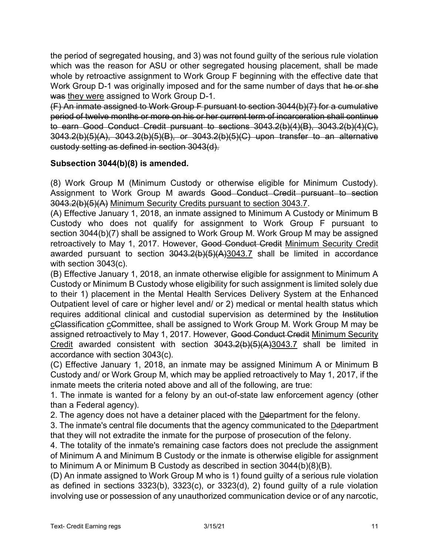the period of segregated housing, and 3) was not found guilty of the serious rule violation which was the reason for ASU or other segregated housing placement, shall be made whole by retroactive assignment to Work Group F beginning with the effective date that Work Group D-1 was originally imposed and for the same number of days that he or she was they were assigned to Work Group D-1.

(F) An inmate assigned to Work Group F pursuant to section 3044(b)(7) for a cumulative period of twelve months or more on his or her current term of incarceration shall continue to earn Good Conduct Credit pursuant to sections 3043.2(b)(4)(B), 3043.2(b)(4)(C), 3043.2(b)(5)(A), 3043.2(b)(5)(B), or 3043.2(b)(5)(C) upon transfer to an alternative custody setting as defined in section 3043(d).

### **Subsection 3044(b)(8) is amended.**

(8) Work Group M (Minimum Custody or otherwise eligible for Minimum Custody). Assignment to Work Group M awards Good Conduct Credit pursuant to section 3043.2(b)(5)(A) Minimum Security Credits pursuant to section 3043.7.

(A) Effective January 1, 2018, an inmate assigned to Minimum A Custody or Minimum B Custody who does not qualify for assignment to Work Group F pursuant to section 3044(b)(7) shall be assigned to Work Group M. Work Group M may be assigned retroactively to May 1, 2017. However, Good Conduct Credit Minimum Security Credit awarded pursuant to section 3043.2(b)(5)(A)3043.7 shall be limited in accordance with section 3043(c).

(B) Effective January 1, 2018, an inmate otherwise eligible for assignment to Minimum A Custody or Minimum B Custody whose eligibility for such assignment is limited solely due to their 1) placement in the Mental Health Services Delivery System at the Enhanced Outpatient level of care or higher level and/ or 2) medical or mental health status which requires additional clinical and custodial supervision as determined by the Institution cClassification cCommittee, shall be assigned to Work Group M. Work Group M may be assigned retroactively to May 1, 2017. However, Good Conduct Credit Minimum Security Credit awarded consistent with section 3043.2(b)(5)(A)3043.7 shall be limited in accordance with section 3043(c).

(C) Effective January 1, 2018, an inmate may be assigned Minimum A or Minimum B Custody and/ or Work Group M, which may be applied retroactively to May 1, 2017, if the inmate meets the criteria noted above and all of the following, are true:

1. The inmate is wanted for a felony by an out-of-state law enforcement agency (other than a Federal agency).

2. The agency does not have a detainer placed with the Ddepartment for the felony.

3. The inmate's central file documents that the agency communicated to the Ddepartment that they will not extradite the inmate for the purpose of prosecution of the felony.

4. The totality of the inmate's remaining case factors does not preclude the assignment of Minimum A and Minimum B Custody or the inmate is otherwise eligible for assignment to Minimum A or Minimum B Custody as described in section 3044(b)(8)(B).

(D) An inmate assigned to Work Group M who is 1) found guilty of a serious rule violation as defined in sections 3323(b), 3323(c), or 3323(d), 2) found guilty of a rule violation involving use or possession of any unauthorized communication device or of any narcotic,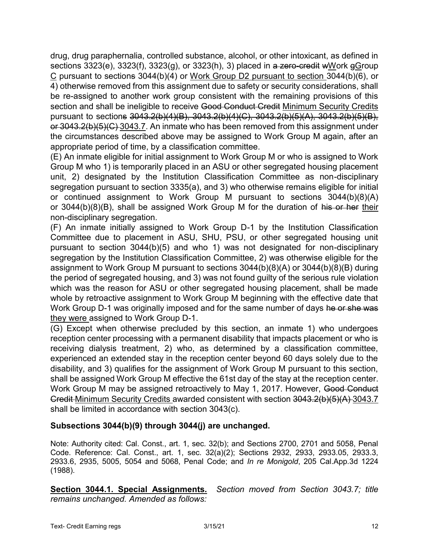drug, drug paraphernalia, controlled substance, alcohol, or other intoxicant, as defined in sections  $3323(e)$ ,  $3323(f)$ ,  $3323(g)$ , or  $3323(h)$ , 3) placed in a zero-credit wWork gGroup C pursuant to sections 3044(b)(4) or Work Group D2 pursuant to section 3044(b)(6), or 4) otherwise removed from this assignment due to safety or security considerations, shall be re-assigned to another work group consistent with the remaining provisions of this section and shall be ineligible to receive Good Conduct Credit Minimum Security Credits pursuant to sections 3043.2(b)(4)(B), 3043.2(b)(4)(C), 3043.2(b)(5)(A), 3043.2(b)(5)(B), or 3043.2(b)(5)(C) 3043.7. An inmate who has been removed from this assignment under the circumstances described above may be assigned to Work Group M again, after an appropriate period of time, by a classification committee.

(E) An inmate eligible for initial assignment to Work Group M or who is assigned to Work Group M who 1) is temporarily placed in an ASU or other segregated housing placement unit, 2) designated by the Institution Classification Committee as non-disciplinary segregation pursuant to section 3335(a), and 3) who otherwise remains eligible for initial or continued assignment to Work Group M pursuant to sections 3044(b)(8)(A) or  $3044(b)(8)(B)$ , shall be assigned Work Group M for the duration of his or her their non-disciplinary segregation.

(F) An inmate initially assigned to Work Group D-1 by the Institution Classification Committee due to placement in ASU, SHU, PSU, or other segregated housing unit pursuant to section 3044(b)(5) and who 1) was not designated for non-disciplinary segregation by the Institution Classification Committee, 2) was otherwise eligible for the assignment to Work Group M pursuant to sections 3044(b)(8)(A) or 3044(b)(8)(B) during the period of segregated housing, and 3) was not found guilty of the serious rule violation which was the reason for ASU or other segregated housing placement, shall be made whole by retroactive assignment to Work Group M beginning with the effective date that Work Group D-1 was originally imposed and for the same number of days he or she was they were assigned to Work Group D-1.

(G) Except when otherwise precluded by this section, an inmate 1) who undergoes reception center processing with a permanent disability that impacts placement or who is receiving dialysis treatment, 2) who, as determined by a classification committee, experienced an extended stay in the reception center beyond 60 days solely due to the disability, and 3) qualifies for the assignment of Work Group M pursuant to this section, shall be assigned Work Group M effective the 61st day of the stay at the reception center. Work Group M may be assigned retroactively to May 1, 2017. However, Good Conduct Credit Minimum Security Credits awarded consistent with section 3043.2(b)(5)(A) 3043.7 shall be limited in accordance with section 3043(c).

## **Subsections 3044(b)(9) through 3044(j) are unchanged.**

Note: Authority cited: Cal. Const., art. 1, sec. 32(b); and Sections 2700, 2701 and 5058, Penal Code. Reference: Cal. Const., art. 1, sec. 32(a)(2); Sections 2932, 2933, 2933.05, 2933.3, 2933.6, 2935, 5005, 5054 and 5068, Penal Code; and *In re Monigold*, 205 Cal.App.3d 1224 (1988).

**Section 3044.1. Special Assignments.** *Section moved from Section 3043.7; title remains unchanged. Amended as follows:*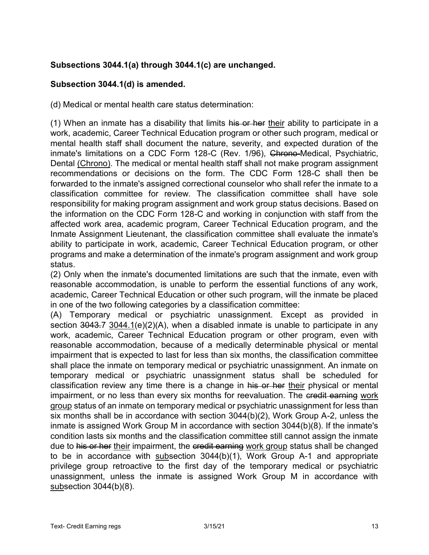# **Subsections 3044.1(a) through 3044.1(c) are unchanged.**

### **Subsection 3044.1(d) is amended.**

(d) Medical or mental health care status determination:

(1) When an inmate has a disability that limits his or her their ability to participate in a work, academic, Career Technical Education program or other such program, medical or mental health staff shall document the nature, severity, and expected duration of the inmate's limitations on a CDC Form 128-C (Rev. 1/96), Chrono-Medical, Psychiatric, Dental (Chrono). The medical or mental health staff shall not make program assignment recommendations or decisions on the form. The CDC Form 128-C shall then be forwarded to the inmate's assigned correctional counselor who shall refer the inmate to a classification committee for review. The classification committee shall have sole responsibility for making program assignment and work group status decisions. Based on the information on the CDC Form 128-C and working in conjunction with staff from the affected work area, academic program, Career Technical Education program, and the Inmate Assignment Lieutenant, the classification committee shall evaluate the inmate's ability to participate in work, academic, Career Technical Education program, or other programs and make a determination of the inmate's program assignment and work group status.

(2) Only when the inmate's documented limitations are such that the inmate, even with reasonable accommodation, is unable to perform the essential functions of any work, academic, Career Technical Education or other such program, will the inmate be placed in one of the two following categories by a classification committee:

(A) Temporary medical or psychiatric unassignment. Except as provided in section  $3043.7$  3044.1(e)(2)(A), when a disabled inmate is unable to participate in any work, academic, Career Technical Education program or other program, even with reasonable accommodation, because of a medically determinable physical or mental impairment that is expected to last for less than six months, the classification committee shall place the inmate on temporary medical or psychiatric unassignment. An inmate on temporary medical or psychiatric unassignment status shall be scheduled for classification review any time there is a change in his or her their physical or mental impairment, or no less than every six months for reevaluation. The credit earning work group status of an inmate on temporary medical or psychiatric unassignment for less than six months shall be in accordance with section 3044(b)(2), Work Group A-2, unless the inmate is assigned Work Group M in accordance with section 3044(b)(8). If the inmate's condition lasts six months and the classification committee still cannot assign the inmate due to his or her their impairment, the credit earning work group status shall be changed to be in accordance with subsection 3044(b)(1), Work Group A-1 and appropriate privilege group retroactive to the first day of the temporary medical or psychiatric unassignment, unless the inmate is assigned Work Group M in accordance with subsection 3044(b)(8).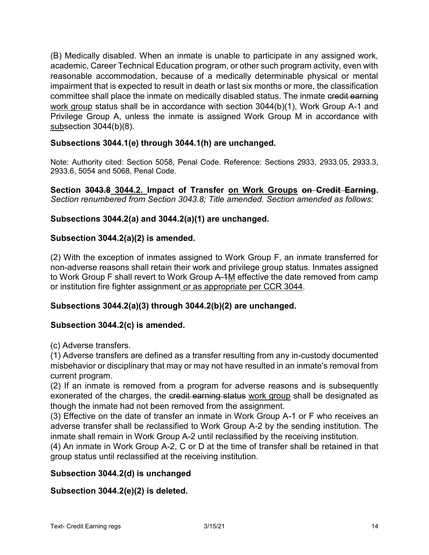(B) Medically disabled. When an inmate is unable to participate in any assigned work, academic, Career Technical Education program, or other such program activity, even with reasonable accommodation, because of a medically determinable physical or mental impairment that is expected to result in death or last six months or more, the classification committee shall place the inmate on medically disabled status. The inmate credit earning work group status shall be in accordance with section 3044(b)(1), Work Group A-1 and Privilege Group A, unless the inmate is assigned Work Group M in accordance with subsection 3044(b)(8).

## **Subsections 3044.1(e) through 3044.1(h) are unchanged.**

Note: Authority cited: Section 5058, Penal Code. Reference: Sections 2933, 2933.05, 2933.3, 2933.6, 5054 and 5068, Penal Code.

**Section 3043.8 3044.2. Impact of Transfer on Work Groups on Credit Earning.** *Section renumbered from Section 3043.8; Title amended. Section amended as follows:*

# **Subsections 3044.2(a) and 3044.2(a)(1) are unchanged.**

## **Subsection 3044.2(a)(2) is amended.**

(2) With the exception of inmates assigned to Work Group F, an inmate transferred for non-adverse reasons shall retain their work and privilege group status. Inmates assigned to Work Group F shall revert to Work Group A-1M effective the date removed from camp or institution fire fighter assignment or as appropriate per CCR 3044.

## **Subsections 3044.2(a)(3) through 3044.2(b)(2) are unchanged.**

## **Subsection 3044.2(c) is amended.**

(c) Adverse transfers.

(1) Adverse transfers are defined as a transfer resulting from any in-custody documented misbehavior or disciplinary that may or may not have resulted in an inmate's removal from current program.

(2) If an inmate is removed from a program for adverse reasons and is subsequently exonerated of the charges, the credit earning status work group shall be designated as though the inmate had not been removed from the assignment.

(3) Effective on the date of transfer an inmate in Work Group A-1 or F who receives an adverse transfer shall be reclassified to Work Group A-2 by the sending institution. The inmate shall remain in Work Group A-2 until reclassified by the receiving institution.

(4) An inmate in Work Group A-2, C or D at the time of transfer shall be retained in that group status until reclassified at the receiving institution.

## **Subsection 3044.2(d) is unchanged**

## **Subsection 3044.2(e)(2) is deleted.**